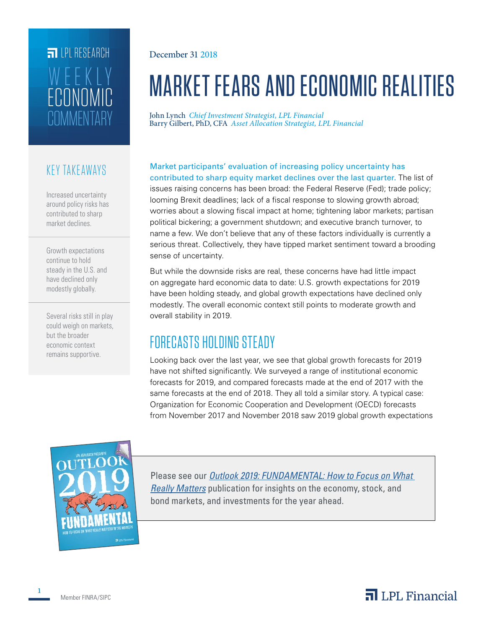# **FILPL RESEARCH COMMENTARY** ECONOMIC WEEKLY

### KEY TAKEAWAYS

Increased uncertainty around policy risks has contributed to sharp market declines.

Growth expectations continue to hold steady in the U.S. and have declined only modestly globally.

Several risks still in play could weigh on markets, but the broader economic context remains supportive.

December 31 2018

# MARKET FEARS AND ECONOMIC REALITIES

John Lynch *Chief Investment Strategist, LPL Financial* Barry Gilbert, PhD, CFA *Asset Allocation Strategist, LPL Financial*

Market participants' evaluation of increasing policy uncertainty has contributed to sharp equity market declines over the last quarter. The list of issues raising concerns has been broad: the Federal Reserve (Fed); trade policy; looming Brexit deadlines; lack of a fiscal response to slowing growth abroad; worries about a slowing fiscal impact at home; tightening labor markets; partisan political bickering; a government shutdown; and executive branch turnover, to name a few. We don't believe that any of these factors individually is currently a serious threat. Collectively, they have tipped market sentiment toward a brooding sense of uncertainty.

But while the downside risks are real, these concerns have had little impact on aggregate hard economic data to date: U.S. growth expectations for 2019 have been holding steady, and global growth expectations have declined only modestly. The overall economic context still points to moderate growth and overall stability in 2019.

# FORECASTS HOLDING STEADY

Looking back over the last year, we see that global growth forecasts for 2019 have not shifted significantly. We surveyed a range of institutional economic forecasts for 2019, and compared forecasts made at the end of 2017 with the same forecasts at the end of 2018. They all told a similar story. A typical case: Organization for Economic Cooperation and Development (OECD) forecasts from November 2017 and November 2018 saw 2019 global growth expectations



Please see our *Outlook 2019: FUNDAMENTAL: How to Focus on What Really Matters* publication for insights on the economy, stock, and bond markets, and investments for the year ahead.

**1**

# $\overline{\mathbf{a}}$  LPL Financial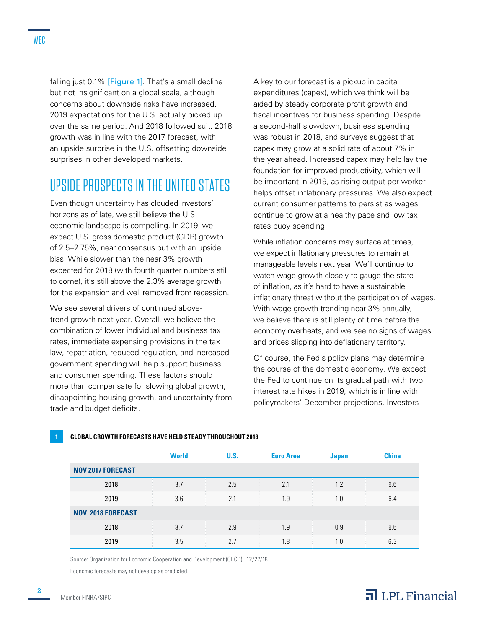falling just 0.1% [Figure 1]. That's a small decline but not insignificant on a global scale, although concerns about downside risks have increased. 2019 expectations for the U.S. actually picked up over the same period. And 2018 followed suit. 2018 growth was in line with the 2017 forecast, with an upside surprise in the U.S. offsetting downside surprises in other developed markets.

# UPSIDE PROSPECTS IN THE UNITED STATES

Even though uncertainty has clouded investors' horizons as of late, we still believe the U.S. economic landscape is compelling. In 2019, we expect U.S. gross domestic product (GDP) growth of 2.5–2.75%, near consensus but with an upside bias. While slower than the near 3% growth expected for 2018 (with fourth quarter numbers still to come), it's still above the 2.3% average growth for the expansion and well removed from recession.

We see several drivers of continued abovetrend growth next year. Overall, we believe the combination of lower individual and business tax rates, immediate expensing provisions in the tax law, repatriation, reduced regulation, and increased government spending will help support business and consumer spending. These factors should more than compensate for slowing global growth, disappointing housing growth, and uncertainty from trade and budget deficits.

A key to our forecast is a pickup in capital expenditures (capex), which we think will be aided by steady corporate profit growth and fiscal incentives for business spending. Despite a second-half slowdown, business spending was robust in 2018, and surveys suggest that capex may grow at a solid rate of about 7% in the year ahead. Increased capex may help lay the foundation for improved productivity, which will be important in 2019, as rising output per worker helps offset inflationary pressures. We also expect current consumer patterns to persist as wages continue to grow at a healthy pace and low tax rates buoy spending.

While inflation concerns may surface at times, we expect inflationary pressures to remain at manageable levels next year. We'll continue to watch wage growth closely to gauge the state of inflation, as it's hard to have a sustainable inflationary threat without the participation of wages. With wage growth trending near 3% annually, we believe there is still plenty of time before the economy overheats, and we see no signs of wages and prices slipping into deflationary territory.

Of course, the Fed's policy plans may determine the course of the domestic economy. We expect the Fed to continue on its gradual path with two interest rate hikes in 2019, which is in line with policymakers' December projections. Investors

|                          | <b>World</b> | U.S. | <b>Euro Area</b> | <b>Japan</b> | <b>China</b> |
|--------------------------|--------------|------|------------------|--------------|--------------|
| <b>NOV 2017 FORECAST</b> |              |      |                  |              |              |
| 2018                     | 3.7          | 2.5  | 2.1              | 1.2          | 6.6          |
| 2019                     | 3.6          | 2.1  | 1.9              | 1.0          | 6.4          |
| <b>NOV 2018 FORECAST</b> |              |      |                  |              |              |
| 2018                     | 3.7          | 2.9  | 1.9              | 0.9          | 6.6          |
| 2019                     | 3.5          | 2.7  | 1.8              | l.O          | 6.3          |

#### **1 GLOBAL GROWTH FORECASTS HAVE HELD STEADY THROUGHOUT 2018**

Source: Organization for Economic Cooperation and Development (OECD) 12/27/18

Economic forecasts may not develop as predicted.

#### Member FINRA/SIPC

**2**

## $\overline{\mathbf{a}}$  LPL Financial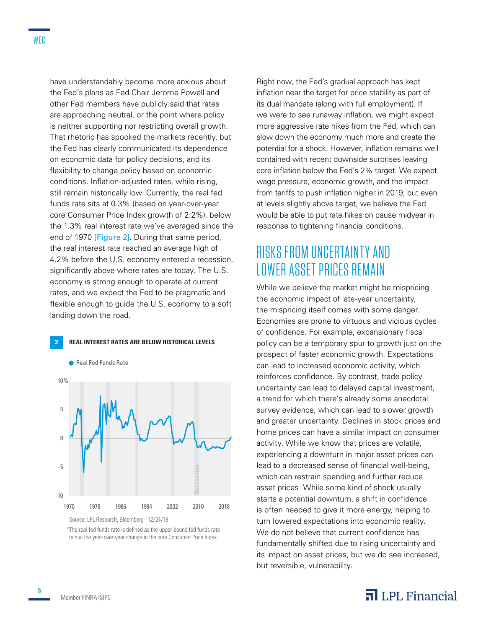have understandably become more anxious about the Fed's plans as Fed Chair Jerome Powell and other Fed members have publicly said that rates are approaching neutral, or the point where policy is neither supporting nor restricting overall growth. That rhetoric has spooked the markets recently, but the Fed has clearly communicated its dependence on economic data for policy decisions, and its flexibility to change policy based on economic conditions. Inflation-adjusted rates, while rising, still remain historically low. Currently, the real fed funds rate sits at 0.3% (based on year-over-year core Consumer Price Index growth of 2.2%), below the 1.3% real interest rate we've averaged since the end of 1970 [Figure 2]. During that same period, the real interest rate reached an average high of 4.2% before the U.S. economy entered a recession, significantly above where rates are today. The U.S. economy is strong enough to operate at current rates, and we expect the Fed to be pragmatic and flexible enough to guide the U.S. economy to a soft landing down the road.



Source: LPL Research, Bloomberg 12/24/18

\*The real fed funds rate is defined as the upper-bound fed funds rate minus the year-over-year change in the core Consumer Price Index.

Right now, the Fed's gradual approach has kept inflation near the target for price stability as part of its dual mandate (along with full employment). If we were to see runaway inflation, we might expect more aggressive rate hikes from the Fed, which can slow down the economy much more and create the potential for a shock. However, inflation remains well contained with recent downside surprises leaving core inflation below the Fed's 2% target. We expect wage pressure, economic growth, and the impact from tariffs to push inflation higher in 2019, but even at levels slightly above target, we believe the Fed would be able to put rate hikes on pause midyear in response to tightening financial conditions.

# RISKS FROM UNCERTAINTY AND LOWER ASSET PRICES REMAIN

While we believe the market might be mispricing the economic impact of late-year uncertainty, the mispricing itself comes with some danger. Economies are prone to virtuous and vicious cycles of confidence. For example, expansionary fiscal policy can be a temporary spur to growth just on the prospect of faster economic growth. Expectations can lead to increased economic activity, which reinforces confidence. By contrast, trade policy uncertainty can lead to delayed capital investment, a trend for which there's already some anecdotal survey evidence, which can lead to slower growth and greater uncertainty. Declines in stock prices and home prices can have a similar impact on consumer activity. While we know that prices are volatile, experiencing a downturn in major asset prices can lead to a decreased sense of financial well-being, which can restrain spending and further reduce asset prices. While some kind of shock usually starts a potential downturn, a shift in confidence is often needed to give it more energy, helping to turn lowered expectations into economic reality. We do not believe that current confidence has fundamentally shifted due to rising uncertainty and its impact on asset prices, but we do see increased, but reversible, vulnerability.

### $\overline{\mathbf{a}}$  LPL Financial